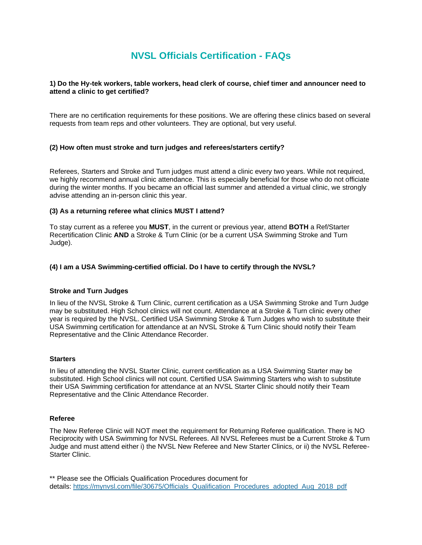# **NVSL Officials Certification - FAQs**

## **1) Do the Hy-tek workers, table workers, head clerk of course, chief timer and announcer need to attend a clinic to get certified?**

There are no certification requirements for these positions. We are offering these clinics based on several requests from team reps and other volunteers. They are optional, but very useful.

#### **(2) How often must stroke and turn judges and referees/starters certify?**

Referees, Starters and Stroke and Turn judges must attend a clinic every two years. While not required, we highly recommend annual clinic attendance. This is especially beneficial for those who do not officiate during the winter months. If you became an official last summer and attended a virtual clinic, we strongly advise attending an in-person clinic this year.

#### **(3) As a returning referee what clinics MUST I attend?**

To stay current as a referee you **MUST**, in the current or previous year, attend **BOTH** a Ref/Starter Recertification Clinic **AND** a Stroke & Turn Clinic (or be a current USA Swimming Stroke and Turn Judge).

# **(4) I am a USA Swimming-certified official. Do I have to certify through the NVSL?**

#### **Stroke and Turn Judges**

In lieu of the NVSL Stroke & Turn Clinic, current certification as a USA Swimming Stroke and Turn Judge may be substituted. High School clinics will not count. Attendance at a Stroke & Turn clinic every other year is required by the NVSL. Certified USA Swimming Stroke & Turn Judges who wish to substitute their USA Swimming certification for attendance at an NVSL Stroke & Turn Clinic should notify their Team Representative and the Clinic Attendance Recorder.

#### **Starters**

In lieu of attending the NVSL Starter Clinic, current certification as a USA Swimming Starter may be substituted. High School clinics will not count. Certified USA Swimming Starters who wish to substitute their USA Swimming certification for attendance at an NVSL Starter Clinic should notify their Team Representative and the Clinic Attendance Recorder.

#### **Referee**

The New Referee Clinic will NOT meet the requirement for Returning Referee qualification. There is NO Reciprocity with USA Swimming for NVSL Referees. All NVSL Referees must be a Current Stroke & Turn Judge and must attend either i) the NVSL New Referee and New Starter Clinics, or ii) the NVSL Referee-Starter Clinic.

\*\* Please see the Officials Qualification Procedures document for details: [https://mynvsl.com/file/30675/Officials\\_Qualification\\_Procedures\\_adopted\\_Aug\\_2018\\_pdf](https://mynvsl.com/file/30675/Officials_Qualification_Procedures_adopted_Aug_2018_pdf)